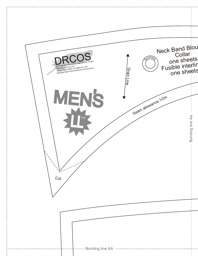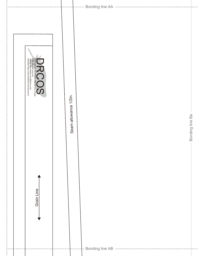| SITE http://dr-oos.infojen). http://dr-oos.com/jp)<br>MAIL info@dr-oos.com<br>Twitter https://www.facebook.com/dross.com<br>facebook https://www.facebook.com/dross.com | Seam allowance 1/2in. |                                                   | Bonding line Ba |
|-------------------------------------------------------------------------------------------------------------------------------------------------------------------------|-----------------------|---------------------------------------------------|-----------------|
| Grain Line                                                                                                                                                              |                       | - Bonding line AB ------------------------------- | Ţ               |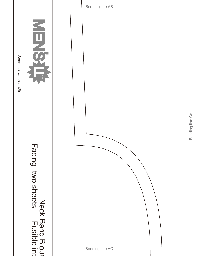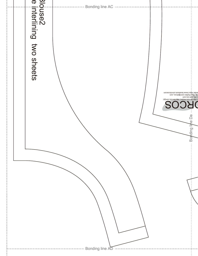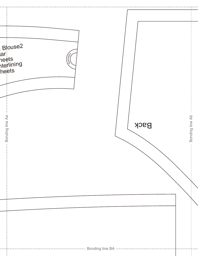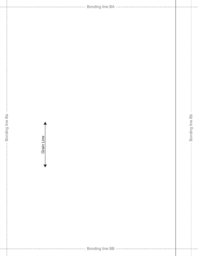Bonding line BA - Bonding line Ba - Bonding line Bb Bonding line Ba Bonding line Bb Grain Line Grain LineBonding line BB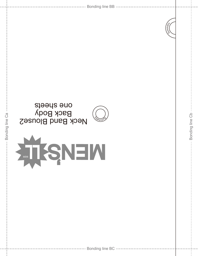|                 | inmer,                                         |  |
|-----------------|------------------------------------------------|--|
| Bonding line Ca | one speets<br><b>Neck Band Blouse2</b><br>′∘աս |  |
|                 | <b>ATTSNEW</b>                                 |  |
|                 |                                                |  |

Bonding line Cb

Bonding line Cb -

 $\bar{1}$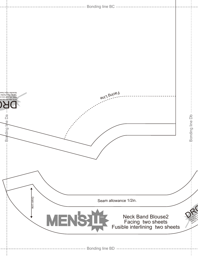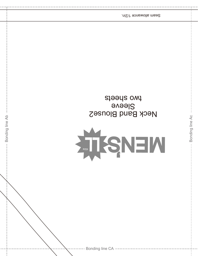

Bonding line Ab

two sheets **Sleeve** Neck Band Blouse2

Seam allowance 1/2in.

Bonding line Ac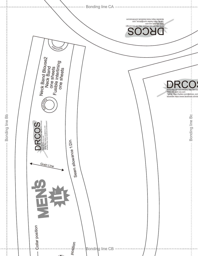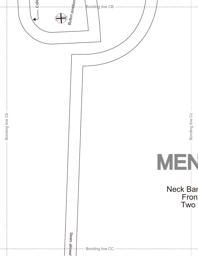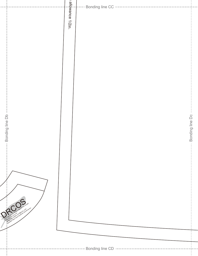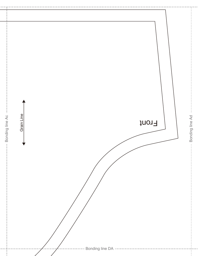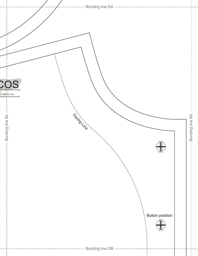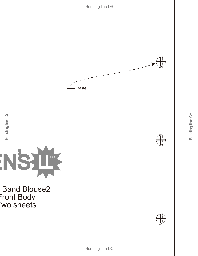